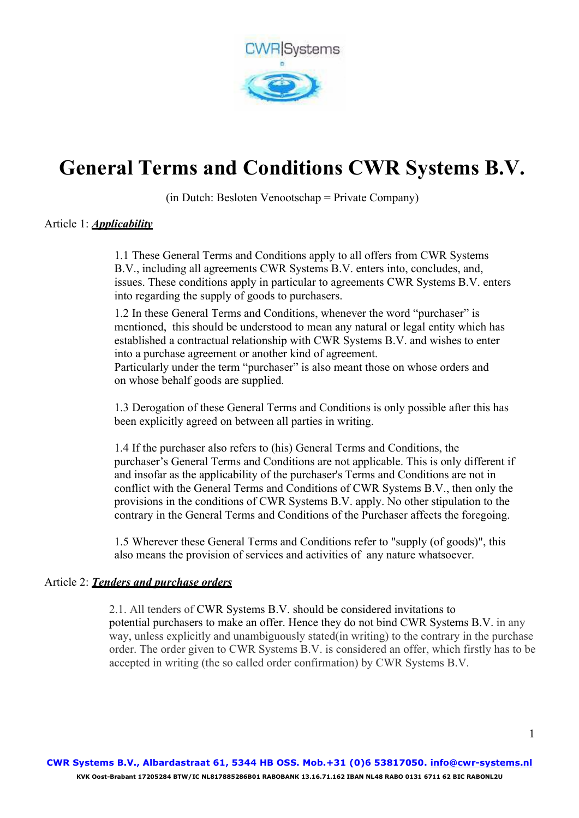

# **General Terms and Conditions CWR Systems B.V.**

(in Dutch: Besloten Venootschap = Private Company)

# Article 1: *Applicability*

1.1 These General Terms and Conditions apply to all offers from CWR Systems B.V., including all agreements CWR Systems B.V. enters into, concludes, and, issues. These conditions apply in particular to agreements CWR Systems B.V. enters into regarding the supply of goods to purchasers.

1.2 In these General Terms and Conditions, whenever the word "purchaser" is mentioned, this should be understood to mean any natural or legal entity which has established a contractual relationship with CWR Systems B.V. and wishes to enter into a purchase agreement or another kind of agreement.

Particularly under the term "purchaser" is also meant those on whose orders and on whose behalf goods are supplied.

1.3 Derogation of these General Terms and Conditions is only possible after this has been explicitly agreed on between all parties in writing.

1.4 If the purchaser also refers to (his) General Terms and Conditions, the purchaser's General Terms and Conditions are not applicable. This is only different if and insofar as the applicability of the purchaser's Terms and Conditions are not in conflict with the General Terms and Conditions of CWR Systems B.V., then only the provisions in the conditions of CWR Systems B.V. apply. No other stipulation to the contrary in the General Terms and Conditions of the Purchaser affects the foregoing.

1.5 Wherever these General Terms and Conditions refer to "supply (of goods)", this also means the provision of services and activities of any nature whatsoever.

#### Article 2: *Tenders and purchase orders*

2.1. All tenders of CWR Systems B.V. should be considered invitations to potential purchasers to make an offer. Hence they do not bind CWR Systems B.V. in any way, unless explicitly and unambiguously stated(in writing) to the contrary in the purchase order. The order given to CWR Systems B.V. is considered an offer, which firstly has to be accepted in writing (the so called order confirmation) by CWR Systems B.V.

 $\mathbf{1}$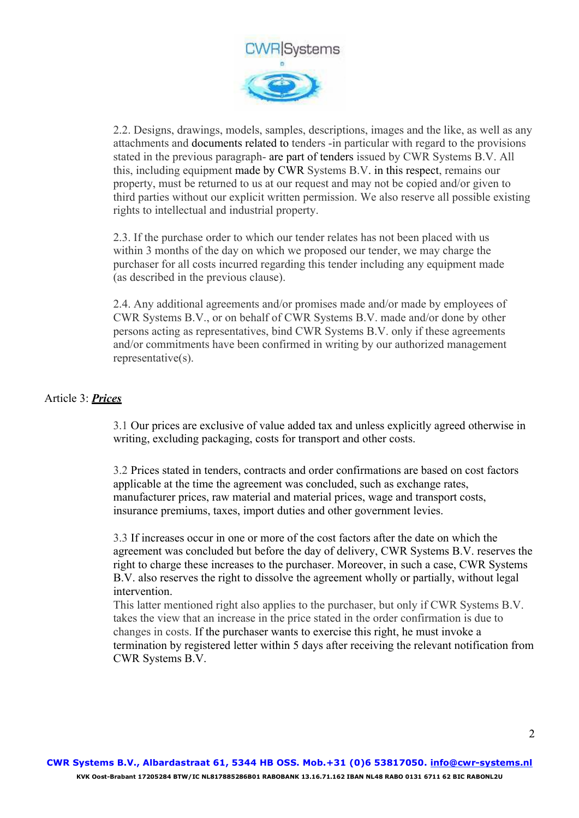

2.2. Designs, drawings, models, samples, descriptions, images and the like, as well as any attachments and documents related to tenders -in particular with regard to the provisions stated in the previous paragraph- are part of tenders issued by CWR Systems B.V. All this, including equipment made by CWR Systems B.V. in this respect, remains our property, must be returned to us at our request and may not be copied and/or given to third parties without our explicit written permission. We also reserve all possible existing rights to intellectual and industrial property.

2.3. If the purchase order to which our tender relates has not been placed with us within 3 months of the day on which we proposed our tender, we may charge the purchaser for all costs incurred regarding this tender including any equipment made (as described in the previous clause).

2.4. Any additional agreements and/or promises made and/or made by employees of CWR Systems B.V., or on behalf of CWR Systems B.V. made and/or done by other persons acting as representatives, bind CWR Systems B.V. only if these agreements and/or commitments have been confirmed in writing by our authorized management representative(s).

# Article 3: *Prices*

3.1 Our prices are exclusive of value added tax and unless explicitly agreed otherwise in writing, excluding packaging, costs for transport and other costs.

3.2 Prices stated in tenders, contracts and order confirmations are based on cost factors applicable at the time the agreement was concluded, such as exchange rates, manufacturer prices, raw material and material prices, wage and transport costs, insurance premiums, taxes, import duties and other government levies.

3.3 If increases occur in one or more of the cost factors after the date on which the agreement was concluded but before the day of delivery, CWR Systems B.V. reserves the right to charge these increases to the purchaser. Moreover, in such a case, CWR Systems B.V. also reserves the right to dissolve the agreement wholly or partially, without legal intervention.

This latter mentioned right also applies to the purchaser, but only if CWR Systems B.V. takes the view that an increase in the price stated in the order confirmation is due to changes in costs. If the purchaser wants to exercise this right, he must invoke a termination by registered letter within 5 days after receiving the relevant notification from CWR Systems B.V.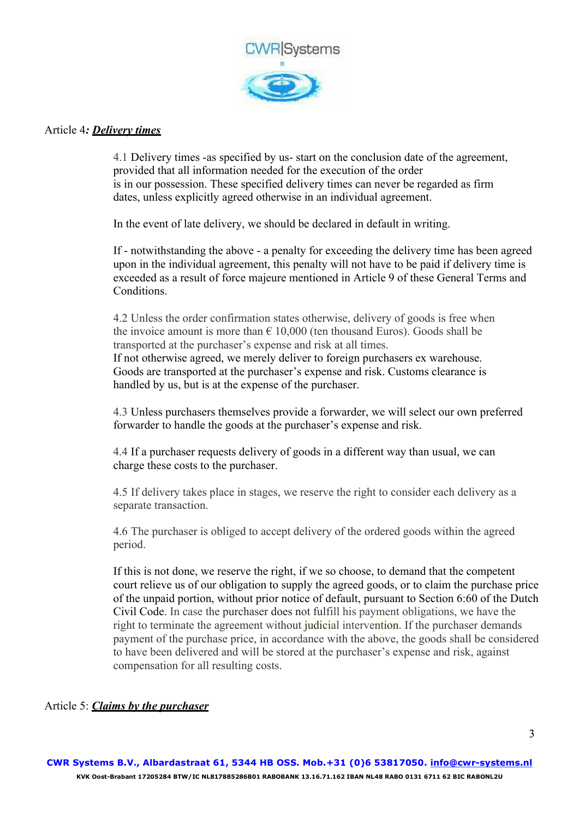

#### Article 4*: Delivery times*

4.1 Delivery times -as specified by us- start on the conclusion date of the agreement, provided that all information needed for the execution of the order is in our possession. These specified delivery times can never be regarded as firm dates, unless explicitly agreed otherwise in an individual agreement.

In the event of late delivery, we should be declared in default in writing.

If - notwithstanding the above - a penalty for exceeding the delivery time has been agreed upon in the individual agreement, this penalty will not have to be paid if delivery time is exceeded as a result of force majeure mentioned in Article 9 of these General Terms and Conditions.

4.2 Unless the order confirmation states otherwise, delivery of goods is free when the invoice amount is more than  $\epsilon$  10,000 (ten thousand Euros). Goods shall be transported at the purchaser's expense and risk at all times. If not otherwise agreed, we merely deliver to foreign purchasers ex warehouse. Goods are transported at the purchaser's expense and risk. Customs clearance is handled by us, but is at the expense of the purchaser.

4.3 Unless purchasers themselves provide a forwarder, we will select our own preferred forwarder to handle the goods at the purchaser's expense and risk.

4.4 If a purchaser requests delivery of goods in a different way than usual, we can charge these costs to the purchaser.

4.5 If delivery takes place in stages, we reserve the right to consider each delivery as a separate transaction.

4.6 The purchaser is obliged to accept delivery of the ordered goods within the agreed period.

If this is not done, we reserve the right, if we so choose, to demand that the competent court relieve us of our obligation to supply the agreed goods, or to claim the purchase price of the unpaid portion, without prior notice of default, pursuant to Section 6:60 of the Dutch Civil Code. In case the purchaser does not fulfill his payment obligations, we have the right to terminate the agreement without judicial intervention. If the purchaser demands payment of the purchase price, in accordance with the above, the goods shall be considered to have been delivered and will be stored at the purchaser's expense and risk, against compensation for all resulting costs.

#### Article 5: *Claims by the purchaser*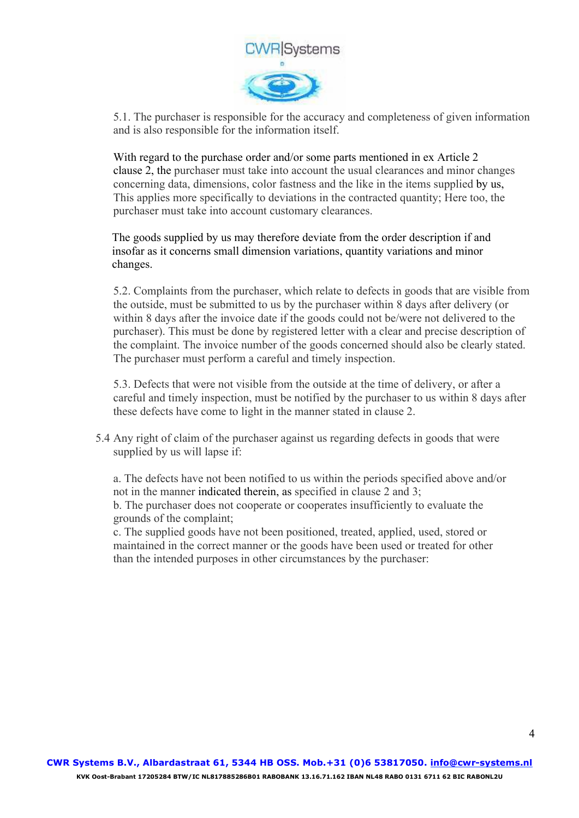

5.1. The purchaser is responsible for the accuracy and completeness of given information and is also responsible for the information itself.

With regard to the purchase order and/or some parts mentioned in ex Article 2 clause 2, the purchaser must take into account the usual clearances and minor changes concerning data, dimensions, color fastness and the like in the items supplied by us, This applies more specifically to deviations in the contracted quantity; Here too, the purchaser must take into account customary clearances.

The goods supplied by us may therefore deviate from the order description if and insofar as it concerns small dimension variations, quantity variations and minor changes.

5.2. Complaints from the purchaser, which relate to defects in goods that are visible from the outside, must be submitted to us by the purchaser within 8 days after delivery (or within 8 days after the invoice date if the goods could not be/were not delivered to the purchaser). This must be done by registered letter with a clear and precise description of the complaint. The invoice number of the goods concerned should also be clearly stated. The purchaser must perform a careful and timely inspection.

5.3. Defects that were not visible from the outside at the time of delivery, or after a careful and timely inspection, must be notified by the purchaser to us within 8 days after these defects have come to light in the manner stated in clause 2.

5.4 Any right of claim of the purchaser against us regarding defects in goods that were supplied by us will lapse if:

a. The defects have not been notified to us within the periods specified above and/or not in the manner indicated therein, as specified in clause 2 and 3; b. The purchaser does not cooperate or cooperates insufficiently to evaluate the grounds of the complaint;

c. The supplied goods have not been positioned, treated, applied, used, stored or maintained in the correct manner or the goods have been used or treated for other than the intended purposes in other circumstances by the purchaser: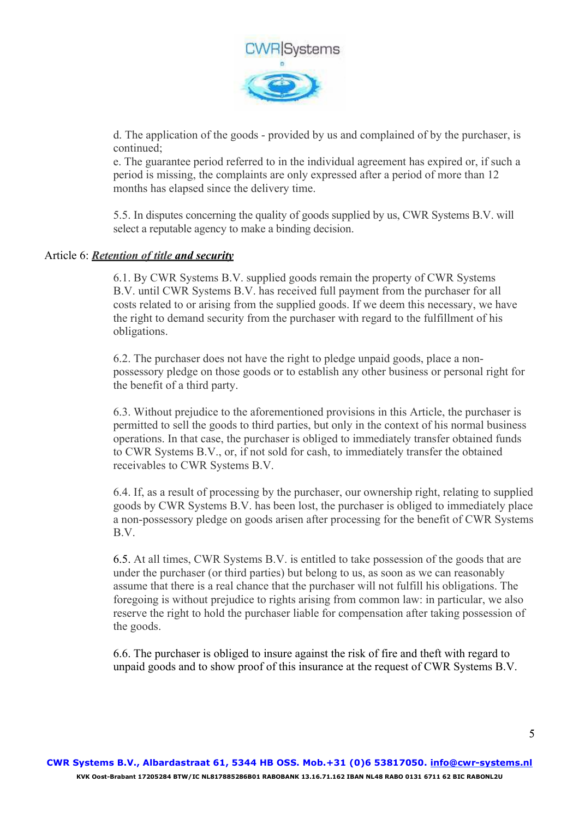

d. The application of the goods - provided by us and complained of by the purchaser, is continued;

e. The guarantee period referred to in the individual agreement has expired or, if such a period is missing, the complaints are only expressed after a period of more than 12 months has elapsed since the delivery time.

5.5. In disputes concerning the quality of goods supplied by us, CWR Systems B.V. will select a reputable agency to make a binding decision.

#### Article 6: *Retention of title and security*

6.1. By CWR Systems B.V. supplied goods remain the property of CWR Systems B.V. until CWR Systems B.V. has received full payment from the purchaser for all costs related to or arising from the supplied goods. If we deem this necessary, we have the right to demand security from the purchaser with regard to the fulfillment of his obligations.

6.2. The purchaser does not have the right to pledge unpaid goods, place a nonpossessory pledge on those goods or to establish any other business or personal right for the benefit of a third party.

6.3. Without prejudice to the aforementioned provisions in this Article, the purchaser is permitted to sell the goods to third parties, but only in the context of his normal business operations. In that case, the purchaser is obliged to immediately transfer obtained funds to CWR Systems B.V., or, if not sold for cash, to immediately transfer the obtained receivables to CWR Systems B.V.

6.4. If, as a result of processing by the purchaser, our ownership right, relating to supplied goods by CWR Systems B.V. has been lost, the purchaser is obliged to immediately place a non-possessory pledge on goods arisen after processing for the benefit of CWR Systems B.V.

6.5. At all times, CWR Systems B.V. is entitled to take possession of the goods that are under the purchaser (or third parties) but belong to us, as soon as we can reasonably assume that there is a real chance that the purchaser will not fulfill his obligations. The foregoing is without prejudice to rights arising from common law: in particular, we also reserve the right to hold the purchaser liable for compensation after taking possession of the goods.

6.6. The purchaser is obliged to insure against the risk of fire and theft with regard to unpaid goods and to show proof of this insurance at the request of CWR Systems B.V.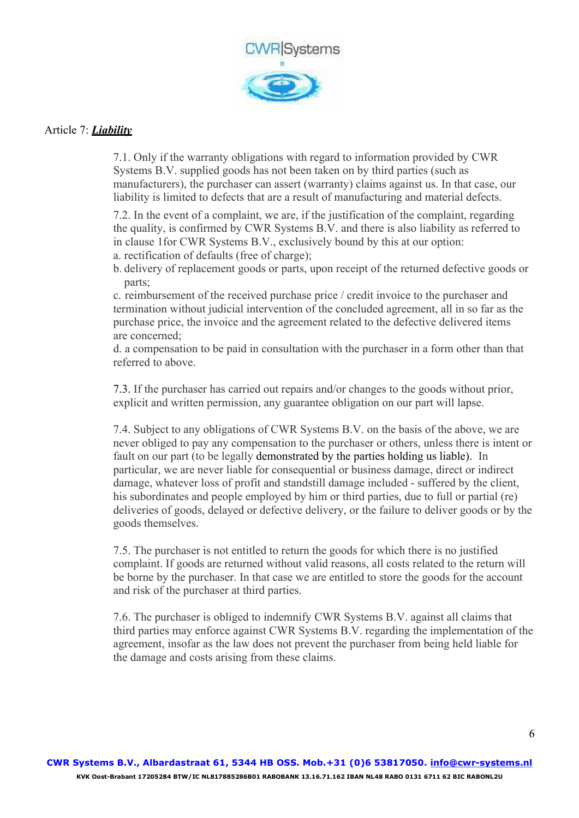

# Article 7: *Liability*

7.1. Only if the warranty obligations with regard to information provided by CWR Systems B.V. supplied goods has not been taken on by third parties (such as manufacturers), the purchaser can assert (warranty) claims against us. In that case, our liability is limited to defects that are a result of manufacturing and material defects.

7.2. In the event of a complaint, we are, if the justification of the complaint, regarding the quality, is confirmed by CWR Systems B.V. and there is also liability as referred to in clause 1for CWR Systems B.V., exclusively bound by this at our option: a. rectification of defaults (free of charge);

b. delivery of replacement goods or parts, upon receipt of the returned defective goods or parts;

c. reimbursement of the received purchase price / credit invoice to the purchaser and termination without judicial intervention of the concluded agreement, all in so far as the purchase price, the invoice and the agreement related to the defective delivered items are concerned;

d. a compensation to be paid in consultation with the purchaser in a form other than that referred to above.

7.3. If the purchaser has carried out repairs and/or changes to the goods without prior, explicit and written permission, any guarantee obligation on our part will lapse.

7.4. Subject to any obligations of CWR Systems B.V. on the basis of the above, we are never obliged to pay any compensation to the purchaser or others, unless there is intent or fault on our part (to be legally demonstrated by the parties holding us liable). In particular, we are never liable for consequential or business damage, direct or indirect damage, whatever loss of profit and standstill damage included - suffered by the client, his subordinates and people employed by him or third parties, due to full or partial (re) deliveries of goods, delayed or defective delivery, or the failure to deliver goods or by the goods themselves.

7.5. The purchaser is not entitled to return the goods for which there is no justified complaint. If goods are returned without valid reasons, all costs related to the return will be borne by the purchaser. In that case we are entitled to store the goods for the account and risk of the purchaser at third parties.

7.6. The purchaser is obliged to indemnify CWR Systems B.V. against all claims that third parties may enforce against CWR Systems B.V. regarding the implementation of the agreement, insofar as the law does not prevent the purchaser from being held liable for the damage and costs arising from these claims.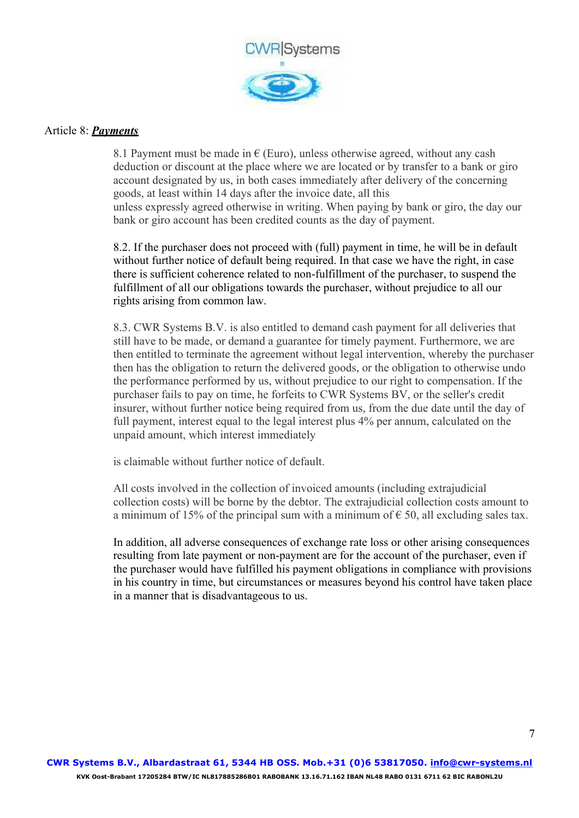

### Article 8: *Payments*

8.1 Payment must be made in  $\epsilon$  (Euro), unless otherwise agreed, without any cash deduction or discount at the place where we are located or by transfer to a bank or giro account designated by us, in both cases immediately after delivery of the concerning goods, at least within 14 days after the invoice date, all this unless expressly agreed otherwise in writing. When paying by bank or giro, the day our bank or giro account has been credited counts as the day of payment.

8.2. If the purchaser does not proceed with (full) payment in time, he will be in default without further notice of default being required. In that case we have the right, in case there is sufficient coherence related to non-fulfillment of the purchaser, to suspend the fulfillment of all our obligations towards the purchaser, without prejudice to all our rights arising from common law.

8.3. CWR Systems B.V. is also entitled to demand cash payment for all deliveries that still have to be made, or demand a guarantee for timely payment. Furthermore, we are then entitled to terminate the agreement without legal intervention, whereby the purchaser then has the obligation to return the delivered goods, or the obligation to otherwise undo the performance performed by us, without prejudice to our right to compensation. If the purchaser fails to pay on time, he forfeits to CWR Systems BV, or the seller's credit insurer, without further notice being required from us, from the due date until the day of full payment, interest equal to the legal interest plus 4% per annum, calculated on the unpaid amount, which interest immediately

is claimable without further notice of default.

All costs involved in the collection of invoiced amounts (including extrajudicial collection costs) will be borne by the debtor. The extrajudicial collection costs amount to a minimum of 15% of the principal sum with a minimum of  $\epsilon$  50, all excluding sales tax.

In addition, all adverse consequences of exchange rate loss or other arising consequences resulting from late payment or non-payment are for the account of the purchaser, even if the purchaser would have fulfilled his payment obligations in compliance with provisions in his country in time, but circumstances or measures beyond his control have taken place in a manner that is disadvantageous to us.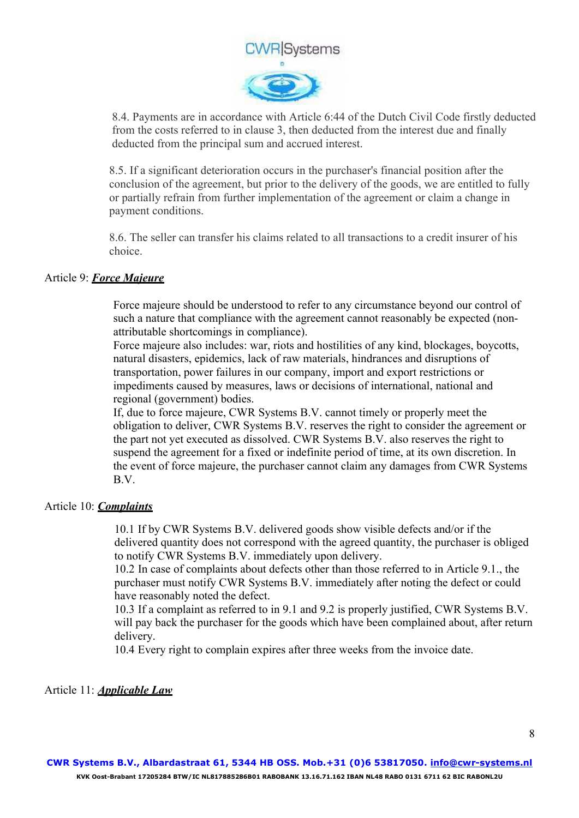

8.4. Payments are in accordance with Article 6:44 of the Dutch Civil Code firstly deducted from the costs referred to in clause 3, then deducted from the interest due and finally deducted from the principal sum and accrued interest.

8.5. If a significant deterioration occurs in the purchaser's financial position after the conclusion of the agreement, but prior to the delivery of the goods, we are entitled to fully or partially refrain from further implementation of the agreement or claim a change in payment conditions.

8.6. The seller can transfer his claims related to all transactions to a credit insurer of his choice.

# Article 9: *Force Majeure*

Force majeure should be understood to refer to any circumstance beyond our control of such a nature that compliance with the agreement cannot reasonably be expected (nonattributable shortcomings in compliance).

Force majeure also includes: war, riots and hostilities of any kind, blockages, boycotts, natural disasters, epidemics, lack of raw materials, hindrances and disruptions of transportation, power failures in our company, import and export restrictions or impediments caused by measures, laws or decisions of international, national and regional (government) bodies.

If, due to force majeure, CWR Systems B.V. cannot timely or properly meet the obligation to deliver, CWR Systems B.V. reserves the right to consider the agreement or the part not yet executed as dissolved. CWR Systems B.V. also reserves the right to suspend the agreement for a fixed or indefinite period of time, at its own discretion. In the event of force majeure, the purchaser cannot claim any damages from CWR Systems B.V.

#### Article 10: *Complaints*

10.1 If by CWR Systems B.V. delivered goods show visible defects and/or if the delivered quantity does not correspond with the agreed quantity, the purchaser is obliged to notify CWR Systems B.V. immediately upon delivery.

10.2 In case of complaints about defects other than those referred to in Article 9.1., the purchaser must notify CWR Systems B.V. immediately after noting the defect or could have reasonably noted the defect.

10.3 If a complaint as referred to in 9.1 and 9.2 is properly justified, CWR Systems B.V. will pay back the purchaser for the goods which have been complained about, after return delivery.

10.4 Every right to complain expires after three weeks from the invoice date.

Article 11: *Applicable Law*